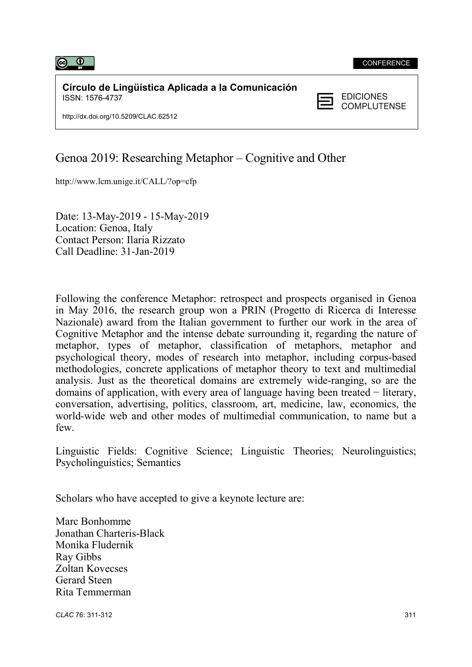

**Círculo de Lingüística Aplicada a la Comunicación**<br>ISSN: 1576-4737 ISSN: 1576-4737

**COMPLUTENSE** 

http://dx.doi.org/10.5209/CLAC.62512

## Genoa 2019: Researching Metaphor – Cognitive and Other

http://www.lcm.unige.it/CALL/?op=cfp

 Date: 13-May-2019 - 15-May-2019 Location: Genoa, Italy Contact Person: Ilaria Rizzato Call Deadline: 31-Jan-2019

Following the conference Metaphor: retrospect and prospects organised in Genoa in May 2016, the research group won a PRIN (Progetto di Ricerca di Interesse Nazionale) award from the Italian government to further our work in the area of Cognitive Metaphor and the intense debate surrounding it, regarding the nature of metaphor, types of metaphor, classification of metaphors, metaphor and psychological theory, modes of research into metaphor, including corpus-based methodologies, concrete applications of metaphor theory to text and multimedial analysis. Just as the theoretical domains are extremely wide-ranging, so are the domains of application, with every area of language having been treated − literary, conversation, advertising, politics, classroom, art, medicine, law, economics, the world-wide web and other modes of multimedial communication, to name but a few.

Linguistic Fields: Cognitive Science; Linguistic Theories; Neurolinguistics; Psycholinguistics; Semantics

Scholars who have accepted to give a keynote lecture are:

Marc Bonhomme Jonathan Charteris-Black Monika Fludernik Ray Gibbs Zoltan Kovecses Gerard Steen Rita Temmerman